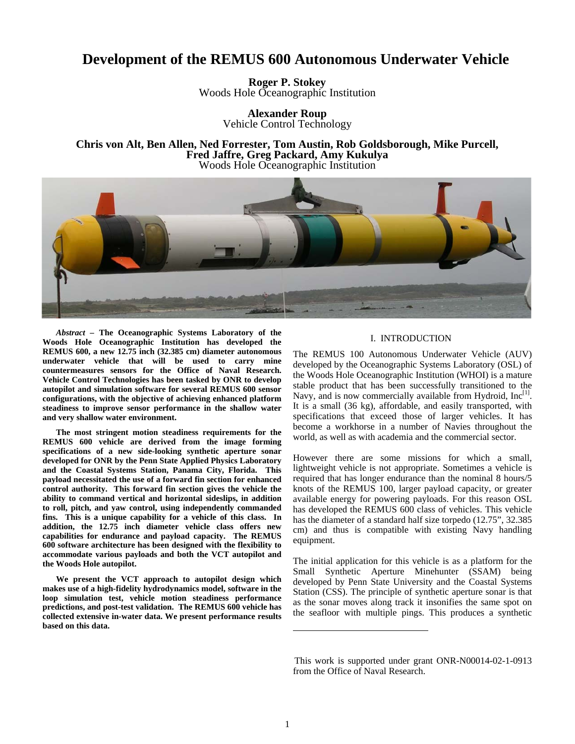# **Development of the REMUS 600 Autonomous Underwater Vehicle**

**Roger P. Stokey**  Woods Hole Oceanographic Institution

> **Alexander Roup**  Vehicle Control Technology

**Chris von Alt, Ben Allen, Ned Forrester, Tom Austin, Rob Goldsborough, Mike Purcell, Fred Jaffre, Greg Packard, Amy Kukulya**  Woods Hole Oceanographic Institution



*Abstract –* **The Oceanographic Systems Laboratory of the Woods Hole Oceanographic Institution has developed the REMUS 600, a new 12.75 inch (32.385 cm) diameter autonomous underwater vehicle that will be used to carry mine countermeasures sensors for the Office of Naval Research. Vehicle Control Technologies has been tasked by ONR to develop autopilot and simulation software for several REMUS 600 sensor configurations, with the objective of achieving enhanced platform steadiness to improve sensor performance in the shallow water and very shallow water environment.** 

**The most stringent motion steadiness requirements for the REMUS 600 vehicle are derived from the image forming specifications of a new side-looking synthetic aperture sonar developed for ONR by the Penn State Applied Physics Laboratory and the Coastal Systems Station, Panama City, Florida. This payload necessitated the use of a forward fin section for enhanced control authority. This forward fin section gives the vehicle the ability to command vertical and horizontal sideslips, in addition to roll, pitch, and yaw control, using independently commanded fins. This is a unique capability for a vehicle of this class. In addition, the 12.75 inch diameter vehicle class offers new capabilities for endurance and payload capacity. The REMUS 600 software architecture has been designed with the flexibility to accommodate various payloads and both the VCT autopilot and the Woods Hole autopilot.** 

**We present the VCT approach to autopilot design which makes use of a high-fidelity hydrodynamics model, software in the loop simulation test, vehicle motion steadiness performance predictions, and post-test validation. The REMUS 600 vehicle has collected extensive in-water data. We present performance results based on this data.** 

## I. INTRODUCTION

The REMUS 100 Autonomous Underwater Vehicle (AUV) developed by the Oceanographic Systems Laboratory (OSL) of the Woods Hole Oceanographic Institution (WHOI) is a mature stable product that has been successfully transitioned to the Navy, and is now commercially available from Hydroid,  $Inc^{[1]}$ . It is a small (36 kg), affordable, and easily transported, with specifications that exceed those of larger vehicles. It has become a workhorse in a number of Navies throughout the world, as well as with academia and the commercial sector.

However there are some missions for which a small, lightweight vehicle is not appropriate. Sometimes a vehicle is required that has longer endurance than the nominal 8 hours/5 knots of the REMUS 100, larger payload capacity, or greater available energy for powering payloads. For this reason OSL has developed the REMUS 600 class of vehicles. This vehicle has the diameter of a standard half size torpedo (12.75", 32.385 cm) and thus is compatible with existing Navy handling equipment.

The initial application for this vehicle is as a platform for the Small Synthetic Aperture Minehunter (SSAM) being developed by Penn State University and the Coastal Systems Station (CSS). The principle of synthetic aperture sonar is that as the sonar moves along track it insonifies the same spot on the seafloor with multiple pings. This produces a synthetic

This work is supported under grant ONR-N00014-02-1-0913 from the Office of Naval Research.

 $\overline{\phantom{a}}$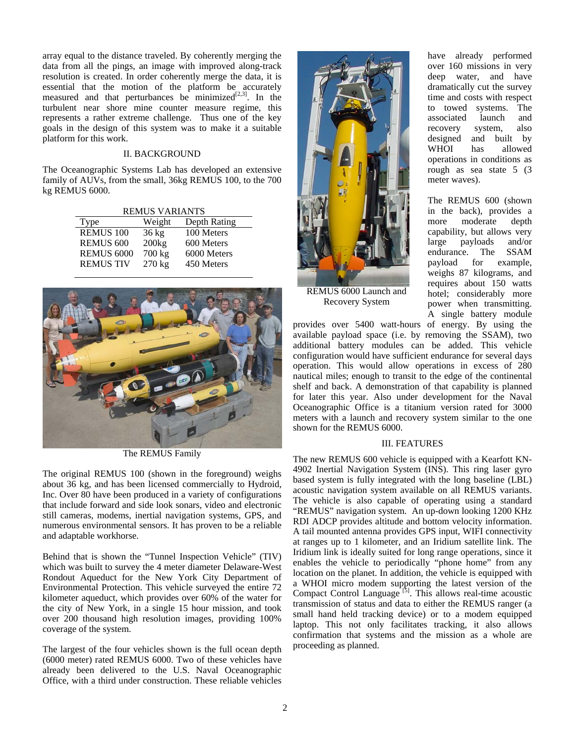array equal to the distance traveled. By coherently merging the data from all the pings, an image with improved along-track resolution is created. In order coherently merge the data, it is essential that the motion of the platform be accurately measured and that perturbances be minimized $[2,3]$ . In the turbulent near shore mine counter measure regime, this represents a rather extreme challenge. Thus one of the key goals in the design of this system was to make it a suitable platform for this work.

# II. BACKGROUND

The Oceanographic Systems Lab has developed an extensive family of AUVs, from the small, 36kg REMUS 100, to the 700 kg REMUS 6000.

REMUS VARIANTS

| Type              | Weight           | Depth Rating |  |
|-------------------|------------------|--------------|--|
| <b>REMUS 100</b>  | $36 \text{ kg}$  | 100 Meters   |  |
| <b>REMUS 600</b>  | 200kg            | 600 Meters   |  |
| <b>REMUS 6000</b> | 700 kg           | 6000 Meters  |  |
| <b>REMUS TIV</b>  | $270 \text{ kg}$ | 450 Meters   |  |
|                   |                  |              |  |



The REMUS Family

The original REMUS 100 (shown in the foreground) weighs about 36 kg, and has been licensed commercially to Hydroid, Inc. Over 80 have been produced in a variety of configurations that include forward and side look sonars, video and electronic still cameras, modems, inertial navigation systems, GPS, and numerous environmental sensors. It has proven to be a reliable and adaptable workhorse.

Behind that is shown the "Tunnel Inspection Vehicle" (TIV) which was built to survey the 4 meter diameter Delaware-West Rondout Aqueduct for the New York City Department of Environmental Protection. This vehicle surveyed the entire 72 kilometer aqueduct, which provides over 60% of the water for the city of New York, in a single 15 hour mission, and took over 200 thousand high resolution images, providing 100% coverage of the system.

The largest of the four vehicles shown is the full ocean depth (6000 meter) rated REMUS 6000. Two of these vehicles have already been delivered to the U.S. Naval Oceanographic Office, with a third under construction. These reliable vehicles



REMUS 6000 Launch and Recovery System

have already performed over 160 missions in very deep water, and have dramatically cut the survey time and costs with respect to towed systems. The associated launch and recovery system, also designed and built by WHOI has allowed operations in conditions as rough as sea state 5 (3 meter waves).

The REMUS 600 (shown in the back), provides a more moderate depth capability, but allows very large payloads and/or endurance. The SSAM payload for example, weighs 87 kilograms, and requires about 150 watts hotel; considerably more power when transmitting. A single battery module

provides over 5400 watt-hours of energy. By using the available payload space (i.e. by removing the SSAM), two additional battery modules can be added. This vehicle configuration would have sufficient endurance for several days operation. This would allow operations in excess of 280 nautical miles; enough to transit to the edge of the continental shelf and back. A demonstration of that capability is planned for later this year. Also under development for the Naval Oceanographic Office is a titanium version rated for 3000 meters with a launch and recovery system similar to the one shown for the REMUS 6000.

#### III. FEATURES

The new REMUS 600 vehicle is equipped with a Kearfott KN-4902 Inertial Navigation System (INS). This ring laser gyro based system is fully integrated with the long baseline (LBL) acoustic navigation system available on all REMUS variants. The vehicle is also capable of operating using a standard "REMUS" navigation system. An up-down looking 1200 KHz RDI ADCP provides altitude and bottom velocity information. A tail mounted antenna provides GPS input, WIFI connectivity at ranges up to 1 kilometer, and an Iridium satellite link. The Iridium link is ideally suited for long range operations, since it enables the vehicle to periodically "phone home" from any location on the planet. In addition, the vehicle is equipped with a WHOI micro modem supporting the latest version of the Compact Control Language  $[5]$ . This allows real-time acoustic transmission of status and data to either the REMUS ranger (a small hand held tracking device) or to a modem equipped laptop. This not only facilitates tracking, it also allows confirmation that systems and the mission as a whole are proceeding as planned.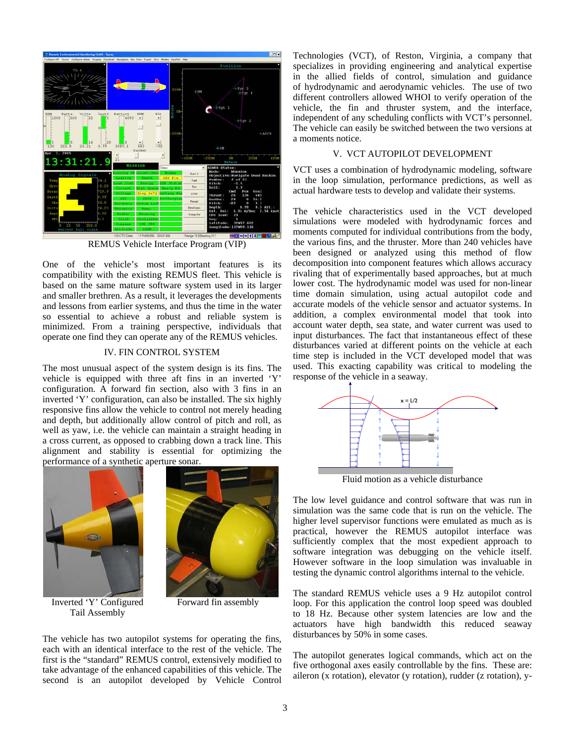

REMUS Vehicle Interface Program (VIP)

One of the vehicle's most important features is its compatibility with the existing REMUS fleet. This vehicle is based on the same mature software system used in its larger and smaller brethren. As a result, it leverages the developments and lessons from earlier systems, and thus the time in the water so essential to achieve a robust and reliable system is minimized. From a training perspective, individuals that operate one find they can operate any of the REMUS vehicles.

# IV. FIN CONTROL SYSTEM

The most unusual aspect of the system design is its fins. The vehicle is equipped with three aft fins in an inverted 'Y' configuration. A forward fin section, also with 3 fins in an inverted 'Y' configuration, can also be installed. The six highly responsive fins allow the vehicle to control not merely heading and depth, but additionally allow control of pitch and roll, as well as yaw, i.e. the vehicle can maintain a straight heading in a cross current, as opposed to crabbing down a track line. This alignment and stability is essential for optimizing the performance of a synthetic aperture sonar.



Inverted 'Y' Configured Tail Assembly



Forward fin assembly

The vehicle has two autopilot systems for operating the fins, each with an identical interface to the rest of the vehicle. The first is the "standard" REMUS control, extensively modified to take advantage of the enhanced capabilities of this vehicle. The second is an autopilot developed by Vehicle Control Technologies (VCT), of Reston, Virginia, a company that specializes in providing engineering and analytical expertise in the allied fields of control, simulation and guidance of hydrodynamic and aerodynamic vehicles. The use of two different controllers allowed WHOI to verify operation of the vehicle, the fin and thruster system, and the interface, independent of any scheduling conflicts with VCT's personnel. The vehicle can easily be switched between the two versions at a moments notice.

## V. VCT AUTOPILOT DEVELOPMENT

VCT uses a combination of hydrodynamic modeling, software in the loop simulation, performance predictions, as well as actual hardware tests to develop and validate their systems.

The vehicle characteristics used in the VCT developed simulations were modeled with hydrodynamic forces and moments computed for individual contributions from the body, the various fins, and the thruster. More than 240 vehicles have been designed or analyzed using this method of flow decomposition into component features which allows accuracy rivaling that of experimentally based approaches, but at much lower cost. The hydrodynamic model was used for non-linear time domain simulation, using actual autopilot code and accurate models of the vehicle sensor and actuator systems. In addition, a complex environmental model that took into account water depth, sea state, and water current was used to input disturbances. The fact that instantaneous effect of these disturbances varied at different points on the vehicle at each time step is included in the VCT developed model that was used. This exacting capability was critical to modeling the response of the vehicle in a seaway.



Fluid motion as a vehicle disturbance

The low level guidance and control software that was run in simulation was the same code that is run on the vehicle. The higher level supervisor functions were emulated as much as is practical, however the REMUS autopilot interface was sufficiently complex that the most expedient approach to software integration was debugging on the vehicle itself. However software in the loop simulation was invaluable in testing the dynamic control algorithms internal to the vehicle.

The standard REMUS vehicle uses a 9 Hz autopilot control loop. For this application the control loop speed was doubled to 18 Hz. Because other system latencies are low and the actuators have high bandwidth this reduced seaway disturbances by 50% in some cases.

The autopilot generates logical commands, which act on the five orthogonal axes easily controllable by the fins. These are: aileron (x rotation), elevator (y rotation), rudder (z rotation), y